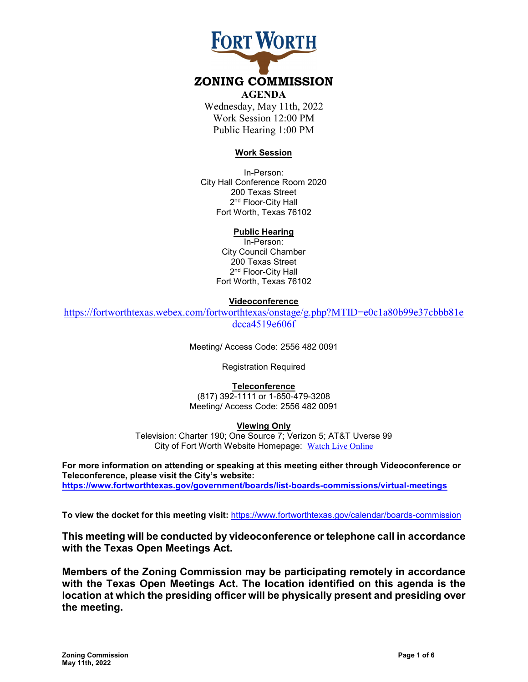# **FORT WORTH**

## **ZONING COMMISSION**

#### **AGENDA**

Wednesday, May 11th, 2022 Work Session 12:00 PM Public Hearing 1:00 PM

## **Work Session**

In-Person: City Hall Conference Room 2020 200 Texas Street 2<sup>nd</sup> Floor-City Hall Fort Worth, Texas 76102

## **Public Hearing**

In-Person: City Council Chamber 200 Texas Street 2<sup>nd</sup> Floor-City Hall Fort Worth, Texas 76102

## **Videoconference**

[https://fortworthtexas.webex.com/fortworthtexas/onstage/g.php?MTID=e0c1a80b99e37cbbb81e](https://fortworthtexas.webex.com/fortworthtexas/onstage/g.php?MTID=e0c1a80b99e37cbbb81edcca4519e606f) [dcca4519e606f](https://fortworthtexas.webex.com/fortworthtexas/onstage/g.php?MTID=e0c1a80b99e37cbbb81edcca4519e606f) 

Meeting/ Access Code: 2556 482 0091

Registration Required

## **Teleconference**

(817) 392-1111 or 1-650-479-3208 Meeting/ Access Code: 2556 482 0091

## **Viewing Only**

Television: Charter 190; One Source 7; Verizon 5; AT&T Uverse 99 City of Fort Worth Website Homepage: [Watch Live Online](http://fortworthtexas.gov/fwtv)

**For more information on attending or speaking at this meeting either through Videoconference or Teleconference, please visit the City's website: https://www.fortworthtexas.gov/government/boards/list-boards-commissions/virtual-meetings**

**To view the docket for this meeting visit:** <https://www.fortworthtexas.gov/calendar/boards-commission>

**This meeting will be conducted by videoconference or telephone call in accordance with the Texas Open Meetings Act.**

**Members of the Zoning Commission may be participating remotely in accordance with the Texas Open Meetings Act. The location identified on this agenda is the location at which the presiding officer will be physically present and presiding over the meeting.**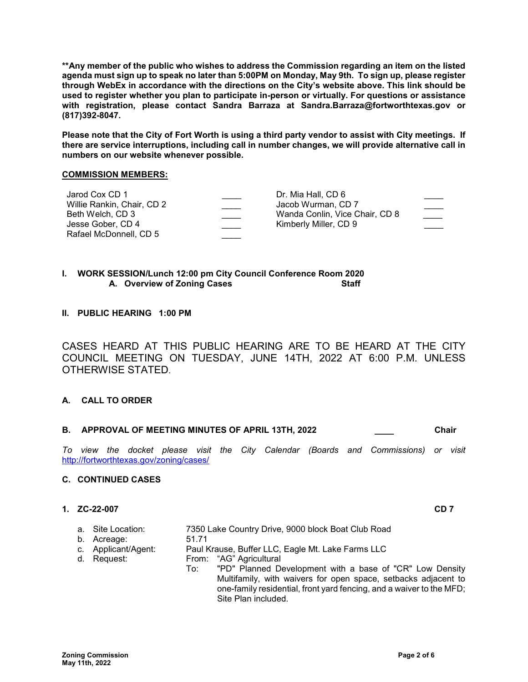**\*\*Any member of the public who wishes to address the Commission regarding an item on the listed agenda must sign up to speak no later than 5:00PM on Monday, May 9th. To sign up, please register through WebEx in accordance with the directions on the City's website above. This link should be used to register whether you plan to participate in-person or virtually. For questions or assistance with registration, please contact Sandra Barraza at Sandra.Barraza@fortworthtexas.gov or (817)392-8047.**

**Please note that the City of Fort Worth is using a third party vendor to assist with City meetings. If there are service interruptions, including call in number changes, we will provide alternative call in numbers on our website whenever possible.**

## **COMMISSION MEMBERS:**

| Dr. Mia Hall, CD 6             |  |
|--------------------------------|--|
| Jacob Wurman, CD 7             |  |
| Wanda Conlin, Vice Chair, CD 8 |  |
| Kimberly Miller, CD 9          |  |
|                                |  |
|                                |  |

## **I. WORK SESSION/Lunch 12:00 pm City Council Conference Room 2020 A.** Overview of Zoning Cases

**II. PUBLIC HEARING 1:00 PM** 

CASES HEARD AT THIS PUBLIC HEARING ARE TO BE HEARD AT THE CITY COUNCIL MEETING ON TUESDAY, JUNE 14TH, 2022 AT 6:00 P.M. UNLESS OTHERWISE STATED.

## **A. CALL TO ORDER**

## **B. APPROVAL OF MEETING MINUTES OF APRIL 13TH, 2022 \_\_\_\_ Chair**

*To view the docket please visit the City Calendar (Boards and Commissions) or visit*  <http://fortworthtexas.gov/zoning/cases/>

### **C. CONTINUED CASES**

## **1. ZC-22-007 CD 7**

| a. Site Location:   |       | 7350 Lake Country Drive, 9000 block Boat Club Road                   |
|---------------------|-------|----------------------------------------------------------------------|
| b. Acreage:         | 51.71 |                                                                      |
| c. Applicant/Agent: |       | Paul Krause, Buffer LLC, Eagle Mt. Lake Farms LLC                    |
| d. Request:         |       | From: "AG" Agricultural                                              |
|                     | To: T | "PD" Planned Development with a base of "CR" Low Density             |
|                     |       | Multifamily, with waivers for open space, setbacks adjacent to       |
|                     |       | one-family residential, front yard fencing, and a waiver to the MFD; |
|                     |       | Site Plan included.                                                  |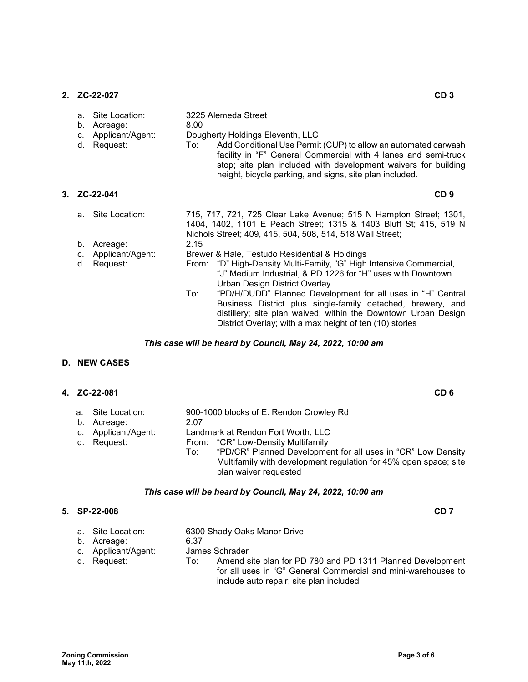**2. ZC-22-027 CD 3**

| a.<br>b.<br>$C_{\cdot}$<br>d. | Site Location:<br>Acreage:<br>Applicant/Agent:<br>Request: | 8.00<br>To: | 3225 Alemeda Street<br>Dougherty Holdings Eleventh, LLC<br>Add Conditional Use Permit (CUP) to allow an automated carwash<br>facility in "F" General Commercial with 4 lanes and semi-truck<br>stop; site plan included with development waivers for building<br>height, bicycle parking, and signs, site plan included. |
|-------------------------------|------------------------------------------------------------|-------------|--------------------------------------------------------------------------------------------------------------------------------------------------------------------------------------------------------------------------------------------------------------------------------------------------------------------------|
|                               | 3. ZC-22-041                                               |             | CD <sub>9</sub>                                                                                                                                                                                                                                                                                                          |
| b.                            | a. Site Location:<br>Acreage:                              | 2.15        | 715, 717, 721, 725 Clear Lake Avenue; 515 N Hampton Street; 1301,<br>1404, 1402, 1101 E Peach Street; 1315 & 1403 Bluff St; 415, 519 N<br>Nichols Street; 409, 415, 504, 508, 514, 518 Wall Street;                                                                                                                      |
|                               | c. Applicant/Agent:                                        |             | Brewer & Hale, Testudo Residential & Holdings                                                                                                                                                                                                                                                                            |
| d.                            | Request:                                                   |             | From: "D" High-Density Multi-Family, "G" High Intensive Commercial,<br>"J" Medium Industrial, & PD 1226 for "H" uses with Downtown<br>Urban Design District Overlay                                                                                                                                                      |
|                               |                                                            | To:         | "PD/H/DUDD" Planned Development for all uses in "H" Central<br>Business District plus single-family detached, brewery, and<br>distillery; site plan waived; within the Downtown Urban Design<br>District Overlay; with a max height of ten (10) stories                                                                  |

## *This case will be heard by Council, May 24, 2022, 10:00 am*

## **D. NEW CASES**

## **4. ZC-22-081 CD 6**

|  | a. Site Location:<br>b. Acreage:<br>c. Applicant/Agent:<br>d. Request: | 2.07<br>To: | 900-1000 blocks of E. Rendon Crowley Rd<br>Landmark at Rendon Fort Worth, LLC<br>From: "CR" Low-Density Multifamily<br>"PD/CR" Planned Development for all uses in "CR" Low Density<br>Multifamily with development regulation for 45% open space; site<br>plan waiver requested |
|--|------------------------------------------------------------------------|-------------|----------------------------------------------------------------------------------------------------------------------------------------------------------------------------------------------------------------------------------------------------------------------------------|
|--|------------------------------------------------------------------------|-------------|----------------------------------------------------------------------------------------------------------------------------------------------------------------------------------------------------------------------------------------------------------------------------------|

## *This case will be heard by Council, May 24, 2022, 10:00 am*

|  | 5. SP-22-008                                                           |             | CD 7                                                                                                                                                                                                                    |  |
|--|------------------------------------------------------------------------|-------------|-------------------------------------------------------------------------------------------------------------------------------------------------------------------------------------------------------------------------|--|
|  | a. Site Location:<br>b. Acreage:<br>c. Applicant/Agent:<br>d. Request: | 6.37<br>To: | 6300 Shady Oaks Manor Drive<br>James Schrader<br>Amend site plan for PD 780 and PD 1311 Planned Development<br>for all uses in "G" General Commercial and mini-warehouses to<br>include auto repair; site plan included |  |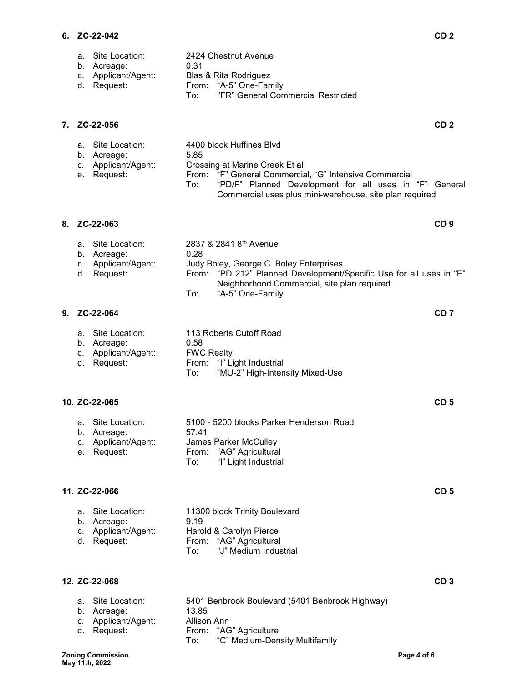a. Site Location: 2424 Chestnut Avenue

|    | b.<br>Acreage:<br>Applicant/Agent:<br>c.<br>d. Request:                            | 0.31<br>Blas & Rita Rodriguez<br>From: "A-5" One-Family<br>"FR" General Commercial Restricted<br>To:                                                                                                                                                     |
|----|------------------------------------------------------------------------------------|----------------------------------------------------------------------------------------------------------------------------------------------------------------------------------------------------------------------------------------------------------|
| 7. | ZC-22-056                                                                          | CD <sub>2</sub>                                                                                                                                                                                                                                          |
|    | Site Location:<br>a.<br>b.<br>Acreage:<br>Applicant/Agent:<br>c.<br>Request:<br>е. | 4400 block Huffines Blvd<br>5.85<br>Crossing at Marine Creek Et al<br>From: "F" General Commercial, "G" Intensive Commercial<br>"PD/F" Planned Development for all uses in "F" General<br>To:<br>Commercial uses plus mini-warehouse, site plan required |
| 8. | ZC-22-063                                                                          | CD <sub>9</sub>                                                                                                                                                                                                                                          |
|    | Site Location:<br>a.<br>Acreage:<br>b.<br>Applicant/Agent:<br>с.<br>Request:<br>d. | 2837 & 2841 8 <sup>th</sup> Avenue<br>0.28<br>Judy Boley, George C. Boley Enterprises<br>"PD 212" Planned Development/Specific Use for all uses in "E"<br>From:<br>Neighborhood Commercial, site plan required<br>"A-5" One-Family<br>To:                |
| 9. | ZC-22-064                                                                          | CD <sub>7</sub>                                                                                                                                                                                                                                          |
|    | Site Location:<br>a.<br>b. Acreage:<br>Applicant/Agent:<br>c.<br>Request:<br>d.    | 113 Roberts Cutoff Road<br>0.58<br><b>FWC Realty</b><br>From: "I" Light Industrial<br>"MU-2" High-Intensity Mixed-Use<br>To:                                                                                                                             |
|    | 10. ZC-22-065                                                                      | CD <sub>5</sub>                                                                                                                                                                                                                                          |
|    | Site Location:<br>a.<br>b.<br>Acreage:<br>Applicant/Agent:<br>C.<br>Request:<br>е. | 5100 - 5200 blocks Parker Henderson Road<br>57.41<br>James Parker McCulley<br>"AG" Agricultural<br>From:<br>"I" Light Industrial<br>To:                                                                                                                  |
|    | 11. ZC-22-066                                                                      | CD <sub>5</sub>                                                                                                                                                                                                                                          |
|    | Site Location:<br>a.<br>b.<br>Acreage:<br>Applicant/Agent:<br>c.<br>Request:<br>d. | 11300 block Trinity Boulevard<br>9.19<br>Harold & Carolyn Pierce<br>"AG" Agricultural<br>From:<br>"J" Medium Industrial<br>To:                                                                                                                           |
|    | 12. ZC-22-068                                                                      | CD <sub>3</sub>                                                                                                                                                                                                                                          |
|    | Site Location:<br>a.<br>b.<br>Acreage:<br>Applicant/Agent:<br>С.<br>Request:<br>d. | 5401 Benbrook Boulevard (5401 Benbrook Highway)<br>13.85<br>Allison Ann<br>"AG" Agriculture<br>From:<br>"C" Medium-Density Multifamily<br>To:                                                                                                            |

"C" Medium-Density Multifamily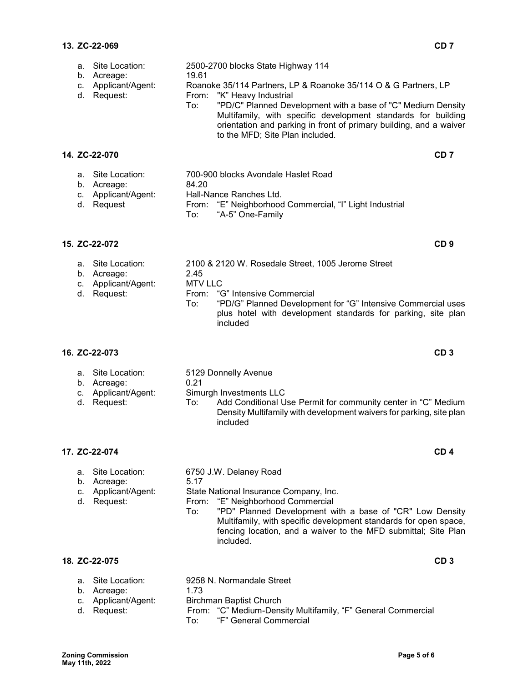| а.<br>b.<br>C.<br>d. | Site Location:<br>Acreage:<br>Applicant/Agent:<br>Request:            | 19.61<br>To:                  | 2500-2700 blocks State Highway 114<br>Roanoke 35/114 Partners, LP & Roanoke 35/114 O & G Partners, LP<br>From: "K" Heavy Industrial<br>"PD/C" Planned Development with a base of "C" Medium Density<br>Multifamily, with specific development standards for building<br>orientation and parking in front of primary building, and a waiver<br>to the MFD; Site Plan included. |                 |
|----------------------|-----------------------------------------------------------------------|-------------------------------|-------------------------------------------------------------------------------------------------------------------------------------------------------------------------------------------------------------------------------------------------------------------------------------------------------------------------------------------------------------------------------|-----------------|
|                      | 14. ZC-22-070                                                         |                               |                                                                                                                                                                                                                                                                                                                                                                               | CD <sub>7</sub> |
|                      | a. Site Location:<br>b. Acreage:<br>c. Applicant/Agent:<br>d. Request | 84.20<br>To:                  | 700-900 blocks Avondale Haslet Road<br>Hall-Nance Ranches Ltd.<br>From: "E" Neighborhood Commercial, "I" Light Industrial<br>"A-5" One-Family                                                                                                                                                                                                                                 |                 |
|                      | 15. ZC-22-072                                                         |                               |                                                                                                                                                                                                                                                                                                                                                                               | CD <sub>9</sub> |
| C.<br>d.             | a. Site Location:<br>b. Acreage:<br>Applicant/Agent:<br>Request:      | 2.45<br><b>MTV LLC</b><br>To: | 2100 & 2120 W. Rosedale Street, 1005 Jerome Street<br>From: "G" Intensive Commercial<br>"PD/G" Planned Development for "G" Intensive Commercial uses<br>plus hotel with development standards for parking, site plan<br>included                                                                                                                                              |                 |
|                      | 16. ZC-22-073                                                         |                               |                                                                                                                                                                                                                                                                                                                                                                               | CD <sub>3</sub> |
| a.<br>d.             | Site Location:<br>b. Acreage:<br>c. Applicant/Agent:<br>Request:      | 0.21<br>To:                   | 5129 Donnelly Avenue<br>Simurgh Investments LLC<br>Add Conditional Use Permit for community center in "C" Medium<br>Density Multifamily with development waivers for parking, site plan                                                                                                                                                                                       |                 |

## **17. ZC-22-074 CD 4**

|  | 6750 J.W. Delanev Roa |  |
|--|-----------------------|--|
|  |                       |  |

included

a. Site Location: 6750 J.W. Delaney Road<br>b. Acreage: 5.17 b. Acreage:

- c. Applicant/Agent: State National Insurance Company, Inc.
- d. Request: From: "E" Neighborhood Commercial<br>To: "PD" Planned Development w
	- "PD" Planned Development with a base of "CR" Low Density Multifamily, with specific development standards for open space, fencing location, and a waiver to the MFD submittal; Site Plan included.

## **18. ZC-22-075 CD 3**

| a. Site Location:  | 9258 N. Normandale Street |
|--------------------|---------------------------|
| b. Acreage:        | 1.73                      |
| a Applicant/Agopti | Dirohmon Dontiat Church   |

- c. Applicant/Agent: Birchman Baptist Church
- 

d. Request: From: "C" Medium-Density Multifamily, "F" General Commercial To: "F" General Commercial